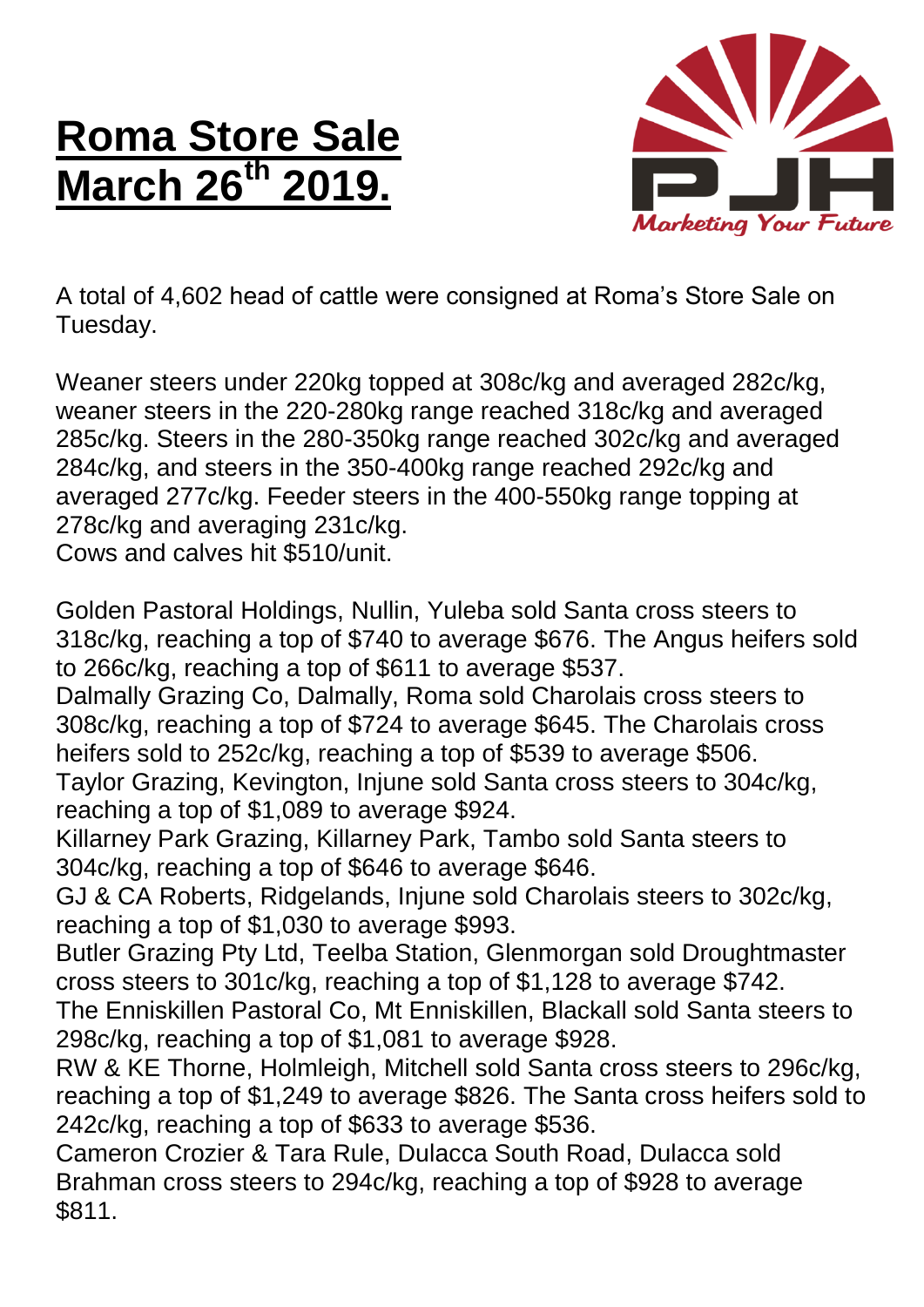## **Roma Store Sale March 26<sup>th</sup>**



A total of 4,602 head of cattle were consigned at Roma's Store Sale on Tuesday.

Weaner steers under 220kg topped at 308c/kg and averaged 282c/kg, weaner steers in the 220-280kg range reached 318c/kg and averaged 285c/kg. Steers in the 280-350kg range reached 302c/kg and averaged 284c/kg, and steers in the 350-400kg range reached 292c/kg and averaged 277c/kg. Feeder steers in the 400-550kg range topping at 278c/kg and averaging 231c/kg.

Cows and calves hit \$510/unit.

Golden Pastoral Holdings, Nullin, Yuleba sold Santa cross steers to 318c/kg, reaching a top of \$740 to average \$676. The Angus heifers sold to 266c/kg, reaching a top of \$611 to average \$537.

Dalmally Grazing Co, Dalmally, Roma sold Charolais cross steers to 308c/kg, reaching a top of \$724 to average \$645. The Charolais cross heifers sold to 252c/kg, reaching a top of \$539 to average \$506.

Taylor Grazing, Kevington, Injune sold Santa cross steers to 304c/kg, reaching a top of \$1,089 to average \$924.

Killarney Park Grazing, Killarney Park, Tambo sold Santa steers to 304c/kg, reaching a top of \$646 to average \$646.

GJ & CA Roberts, Ridgelands, Injune sold Charolais steers to 302c/kg, reaching a top of \$1,030 to average \$993.

Butler Grazing Pty Ltd, Teelba Station, Glenmorgan sold Droughtmaster cross steers to 301c/kg, reaching a top of \$1,128 to average \$742.

The Enniskillen Pastoral Co, Mt Enniskillen, Blackall sold Santa steers to 298c/kg, reaching a top of \$1,081 to average \$928.

RW & KE Thorne, Holmleigh, Mitchell sold Santa cross steers to 296c/kg, reaching a top of \$1,249 to average \$826. The Santa cross heifers sold to 242c/kg, reaching a top of \$633 to average \$536.

Cameron Crozier & Tara Rule, Dulacca South Road, Dulacca sold Brahman cross steers to 294c/kg, reaching a top of \$928 to average \$811.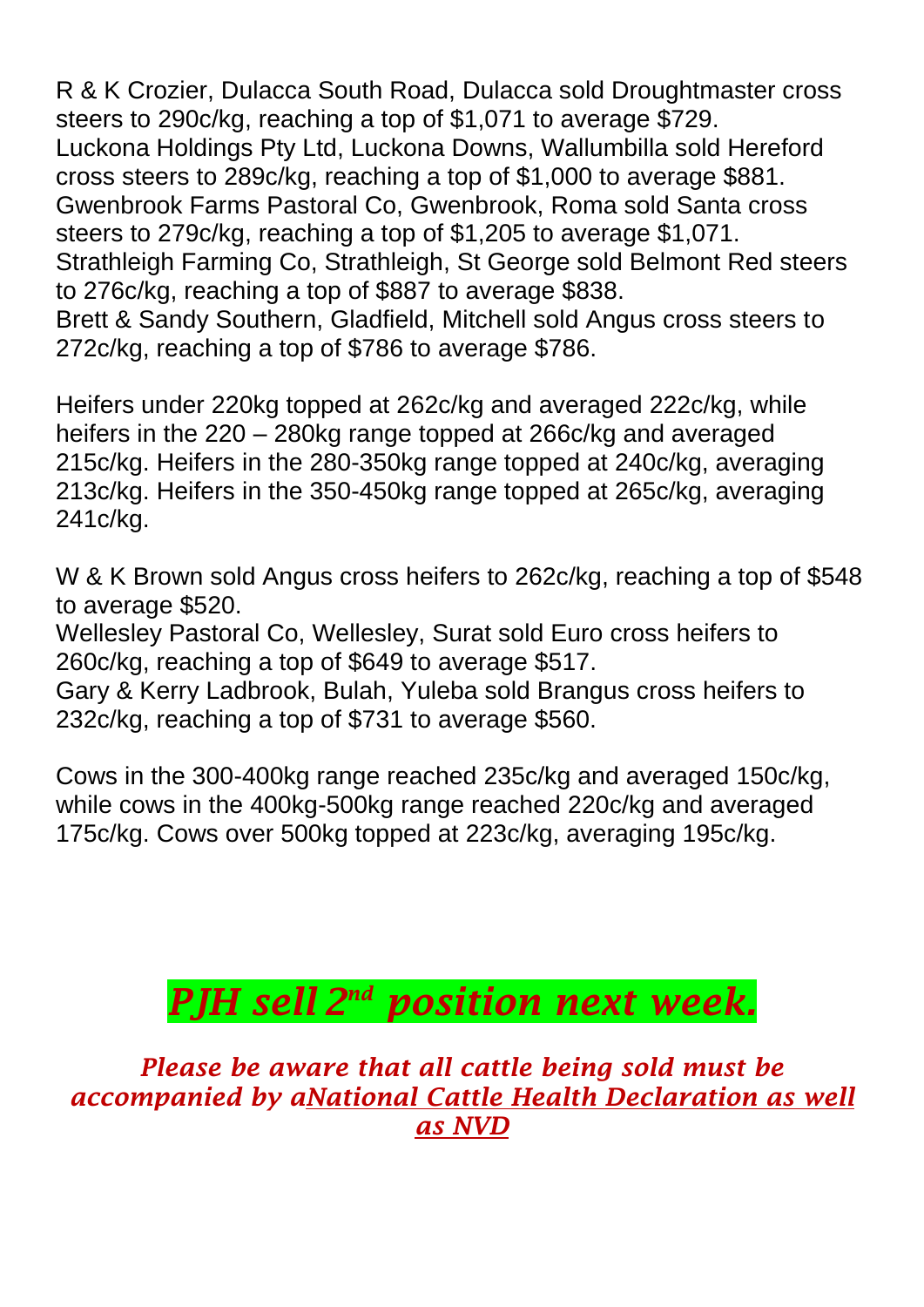R & K Crozier, Dulacca South Road, Dulacca sold Droughtmaster cross steers to 290c/kg, reaching a top of \$1,071 to average \$729. Luckona Holdings Pty Ltd, Luckona Downs, Wallumbilla sold Hereford cross steers to 289c/kg, reaching a top of \$1,000 to average \$881. Gwenbrook Farms Pastoral Co, Gwenbrook, Roma sold Santa cross steers to 279c/kg, reaching a top of \$1,205 to average \$1,071. Strathleigh Farming Co, Strathleigh, St George sold Belmont Red steers to 276c/kg, reaching a top of \$887 to average \$838. Brett & Sandy Southern, Gladfield, Mitchell sold Angus cross steers to 272c/kg, reaching a top of \$786 to average \$786.

Heifers under 220kg topped at 262c/kg and averaged 222c/kg, while heifers in the 220 – 280kg range topped at 266c/kg and averaged 215c/kg. Heifers in the 280-350kg range topped at 240c/kg, averaging 213c/kg. Heifers in the 350-450kg range topped at 265c/kg, averaging 241c/kg.

W & K Brown sold Angus cross heifers to 262c/kg, reaching a top of \$548 to average \$520.

Wellesley Pastoral Co, Wellesley, Surat sold Euro cross heifers to 260c/kg, reaching a top of \$649 to average \$517.

Gary & Kerry Ladbrook, Bulah, Yuleba sold Brangus cross heifers to 232c/kg, reaching a top of \$731 to average \$560.

Cows in the 300-400kg range reached 235c/kg and averaged 150c/kg, while cows in the 400kg-500kg range reached 220c/kg and averaged 175c/kg. Cows over 500kg topped at 223c/kg, averaging 195c/kg.

## *PJH sell 2 nd position next week.*

*Please be aware that all cattle being sold must be accompanied by aNational Cattle Health Declaration as well as NVD*